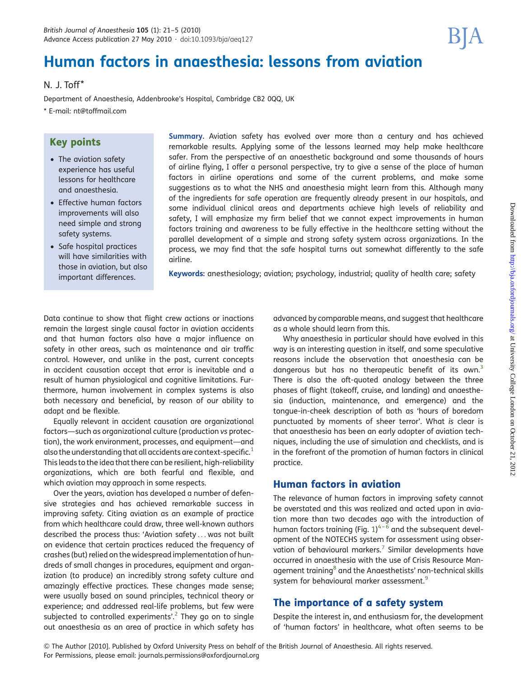# Human factors in anaesthesia: lessons from aviation

### N. J. Toff\*

Department of Anaesthesia, Addenbrooke's Hospital, Cambridge CB2 0QQ, UK

\* E-mail: [nt@toffmail.com](mailto:nt@toffmail.com)

## Key points

- The aviation safety experience has useful lessons for healthcare and anaesthesia.
- Effective human factors improvements will also need simple and strong safety systems.
- Safe hospital practices will have similarities with those in aviation, but also important differences.

Summary. Aviation safety has evolved over more than a century and has achieved remarkable results. Applying some of the lessons learned may help make healthcare safer. From the perspective of an anaesthetic background and some thousands of hours of airline flying, I offer a personal perspective, try to give a sense of the place of human factors in airline operations and some of the current problems, and make some suggestions as to what the NHS and anaesthesia might learn from this. Although many of the ingredients for safe operation are frequently already present in our hospitals, and some individual clinical areas and departments achieve high levels of reliability and safety, I will emphasize my firm belief that we cannot expect improvements in human factors training and awareness to be fully effective in the healthcare setting without the parallel development of a simple and strong safety system across organizations. In the process, we may find that the safe hospital turns out somewhat differently to the safe airline.

Keywords: anesthesiology; aviation; psychology, industrial; quality of health care; safety

Data continue to show that flight crew actions or inactions remain the largest single causal factor in aviation accidents and that human factors also have a major influence on safety in other areas, such as maintenance and air traffic control. However, and unlike in the past, current concepts in accident causation accept that error is inevitable and a result of human physiological and cognitive limitations. Furthermore, human involvement in complex systems is also both necessary and beneficial, by reason of our ability to adapt and be flexible.

Equally relevant in accident causation are organizational factors—such as organizational culture (production vs protection), the work environment, processes, and equipment—and also the understanding that all accidents are context-specific.<sup>[1](#page-4-0)</sup> This leads to the idea that there can be resilient, high-reliability organizations, which are both fearful and flexible, and which aviation may approach in some respects.

Over the years, aviation has developed a number of defensive strategies and has achieved remarkable success in improving safety. Citing aviation as an example of practice from which healthcare could draw, three well-known authors described the process thus: 'Aviation safety ... was not built on evidence that certain practices reduced the frequency of crashes (but) relied on the widespread implementation of hundreds of small changes in procedures, equipment and organization (to produce) an incredibly strong safety culture and amazingly effective practices. These changes made sense; were usually based on sound principles, technical theory or experience; and addressed real-life problems, but few were subjected to controlled experiments'.<sup>[2](#page-4-0)</sup> They go on to single out anaesthesia as an area of practice in which safety has

advanced by comparable means, and suggest that healthcare as a whole should learn from this.

Why anaesthesia in particular should have evolved in this way is an interesting question in itself, and some speculative reasons include the observation that anaesthesia can be dangerous but has no therapeutic benefit of its own.<sup>3</sup> There is also the oft-quoted analogy between the three phases of flight (takeoff, cruise, and landing) and anaesthesia (induction, maintenance, and emergence) and the tongue-in-cheek description of both as 'hours of boredom punctuated by moments of sheer terror'. What is clear is that anaesthesia has been an early adopter of aviation techniques, including the use of simulation and checklists, and is in the forefront of the promotion of human factors in clinical practice.

## Human factors in aviation

The relevance of human factors in improving safety cannot be overstated and this was realized and acted upon in aviation more than two decades ago with the introduction of human factors training (Fig.  $1)^{4-6}$  $1)^{4-6}$  $1)^{4-6}$  $1)^{4-6}$  $1)^{4-6}$  and the subsequent development of the NOTECHS system for assessment using observation of behavioural markers.<sup>7</sup> Similar developments have occurred in anaesthesia with the use of Crisis Resource Man-agement training<sup>[8](#page-4-0)</sup> and the Anaesthetists' non-technical skills system for behavioural marker assessment.<sup>[9](#page-4-0)</sup>

## The importance of a safety system

Despite the interest in, and enthusiasm for, the development of 'human factors' in healthcare, what often seems to be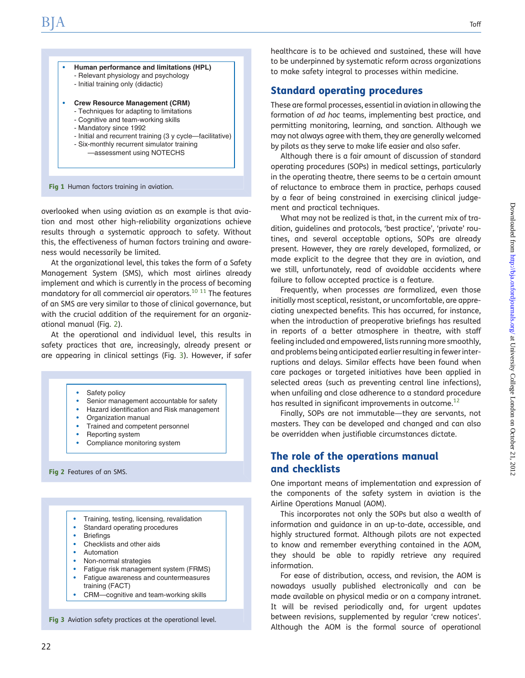<span id="page-1-0"></span>

Fig 1 Human factors training in aviation.

overlooked when using aviation as an example is that aviation and most other high-reliability organizations achieve results through a systematic approach to safety. Without this, the effectiveness of human factors training and awareness would necessarily be limited.

At the organizational level, this takes the form of a Safety Management System (SMS), which most airlines already implement and which is currently in the process of becoming mandatory for all commercial air operators.<sup>[10 11](#page-4-0)</sup> The features of an SMS are very similar to those of clinical governance, but with the crucial addition of the requirement for an organizational manual (Fig. 2).

At the operational and individual level, this results in safety practices that are, increasingly, already present or are appearing in clinical settings (Fig. 3). However, if safer

Safety policy

- Senior management accountable for safety
- Hazard identification and Risk management
- Organization manual
- Trained and competent personnel
- Reporting system
- Compliance monitoring system

Fig 2 Features of an SMS.

- Training, testing, licensing, revalidation
- Standard operating procedures
- **Briefings**
- Checklists and other aids
- **Automation**
- Non-normal strategies
- Fatigue risk management system (FRMS)
- Fatigue awareness and countermeasures training (FACT)
- CRM—cognitive and team-working skills

Fig 3 Aviation safety practices at the operational level.

healthcare is to be achieved and sustained, these will have to be underpinned by systematic reform across organizations to make safety integral to processes within medicine.

#### Standard operating procedures

These are formal processes, essential in aviation in allowing the formation of ad hoc teams, implementing best practice, and permitting monitoring, learning, and sanction. Although we may not always agree with them, they are generally welcomed by pilots as they serve to make life easier and also safer.

Although there is a fair amount of discussion of standard operating procedures (SOPs) in medical settings, particularly in the operating theatre, there seems to be a certain amount of reluctance to embrace them in practice, perhaps caused by a fear of being constrained in exercising clinical judgement and practical techniques.

What may not be realized is that, in the current mix of tradition, guidelines and protocols, 'best practice', 'private' routines, and several acceptable options, SOPs are already present. However, they are rarely developed, formalized, or made explicit to the degree that they are in aviation, and we still, unfortunately, read of avoidable accidents where failure to follow accepted practice is a feature.

Frequently, when processes are formalized, even those initially most sceptical, resistant, or uncomfortable, are appreciating unexpected benefits. This has occurred, for instance, when the introduction of preoperative briefings has resulted in reports of a better atmosphere in theatre, with staff feeling included and empowered, lists running more smoothly, and problems being anticipated earlier resulting in fewer interruptions and delays. Similar effects have been found when care packages or targeted initiatives have been applied in selected areas (such as preventing central line infections), when unfailing and close adherence to a standard procedure has resulted in significant improvements in outcome.<sup>[12](#page-4-0)</sup>

Finally, SOPs are not immutable—they are servants, not masters. They can be developed and changed and can also be overridden when justifiable circumstances dictate.

### The role of the operations manual and checklists

One important means of implementation and expression of the components of the safety system in aviation is the Airline Operations Manual (AOM).

This incorporates not only the SOPs but also a wealth of information and guidance in an up-to-date, accessible, and highly structured format. Although pilots are not expected to know and remember everything contained in the AOM, they should be able to rapidly retrieve any required information.

For ease of distribution, access, and revision, the AOM is nowadays usually published electronically and can be made available on physical media or on a company intranet. It will be revised periodically and, for urgent updates between revisions, supplemented by regular 'crew notices'. Although the AOM is the formal source of operational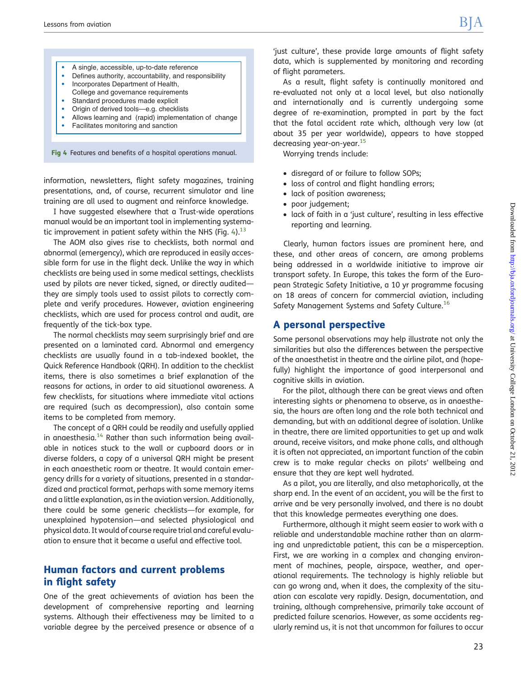#### • A single, accessible, up-to-date reference

- Defines authority, accountability, and responsibility
- Incorporates Department of Health,
- College and governance requirements
- Standard procedures made explicit
- Origin of derived tools—e.g. checklists
- Allows learning and (rapid) implementation of change
- Facilitates monitoring and sanction

Fig 4 Features and benefits of a hospital operations manual.

information, newsletters, flight safety magazines, training presentations, and, of course, recurrent simulator and line training are all used to augment and reinforce knowledge.

I have suggested elsewhere that a Trust-wide operations manual would be an important tool in implementing systema-tic improvement in patient safety within the NHS (Fig. [4\)](#page-1-0).<sup>[13](#page-4-0)</sup>

The AOM also gives rise to checklists, both normal and abnormal (emergency), which are reproduced in easily accessible form for use in the flight deck. Unlike the way in which checklists are being used in some medical settings, checklists used by pilots are never ticked, signed, or directly audited they are simply tools used to assist pilots to correctly complete and verify procedures. However, aviation engineering checklists, which are used for process control and audit, are frequently of the tick-box type.

The normal checklists may seem surprisingly brief and are presented on a laminated card. Abnormal and emergency checklists are usually found in a tab-indexed booklet, the Quick Reference Handbook (QRH). In addition to the checklist items, there is also sometimes a brief explanation of the reasons for actions, in order to aid situational awareness. A few checklists, for situations where immediate vital actions are required (such as decompression), also contain some items to be completed from memory.

The concept of a QRH could be readily and usefully applied in anaesthesia. $14$  Rather than such information being available in notices stuck to the wall or cupboard doors or in diverse folders, a copy of a universal QRH might be present in each anaesthetic room or theatre. It would contain emergency drills for a variety of situations, presented in a standardized and practical format, perhaps with some memory items and a little explanation, as in the aviation version. Additionally, there could be some generic checklists—for example, for unexplained hypotension—and selected physiological and physical data. It would of course require trial and careful evaluation to ensure that it became a useful and effective tool.

## Human factors and current problems in flight safety

One of the great achievements of aviation has been the development of comprehensive reporting and learning systems. Although their effectiveness may be limited to a variable degree by the perceived presence or absence of a 'just culture', these provide large amounts of flight safety data, which is supplemented by monitoring and recording of flight parameters.

As a result, flight safety is continually monitored and re-evaluated not only at a local level, but also nationally and internationally and is currently undergoing some degree of re-examination, prompted in part by the fact that the fatal accident rate which, although very low (at about 35 per year worldwide), appears to have stopped decreasing year-on-year.<sup>[15](#page-4-0)</sup>

Worrying trends include:

- † disregard of or failure to follow SOPs;
- loss of control and flight handling errors;
- lack of position awareness;
- poor judgement;
- lack of faith in a 'just culture', resulting in less effective reporting and learning.

Clearly, human factors issues are prominent here, and these, and other areas of concern, are among problems being addressed in a worldwide initiative to improve air transport safety. In Europe, this takes the form of the European Strategic Safety Initiative, a 10 yr programme focusing on 18 areas of concern for commercial aviation, including Safety Management Systems and Safety Culture.<sup>[16](#page-4-0)</sup>

## A personal perspective

Some personal observations may help illustrate not only the similarities but also the differences between the perspective of the anaesthetist in theatre and the airline pilot, and (hopefully) highlight the importance of good interpersonal and cognitive skills in aviation.

For the pilot, although there can be great views and often interesting sights or phenomena to observe, as in anaesthesia, the hours are often long and the role both technical and demanding, but with an additional degree of isolation. Unlike in theatre, there are limited opportunities to get up and walk around, receive visitors, and make phone calls, and although it is often not appreciated, an important function of the cabin crew is to make regular checks on pilots' wellbeing and ensure that they are kept well hydrated.

As a pilot, you are literally, and also metaphorically, at the sharp end. In the event of an accident, you will be the first to arrive and be very personally involved, and there is no doubt that this knowledge permeates everything one does.

Furthermore, although it might seem easier to work with a reliable and understandable machine rather than an alarming and unpredictable patient, this can be a misperception. First, we are working in a complex and changing environment of machines, people, airspace, weather, and operational requirements. The technology is highly reliable but can go wrong and, when it does, the complexity of the situation can escalate very rapidly. Design, documentation, and training, although comprehensive, primarily take account of predicted failure scenarios. However, as some accidents regularly remind us, it is not that uncommon for failures to occur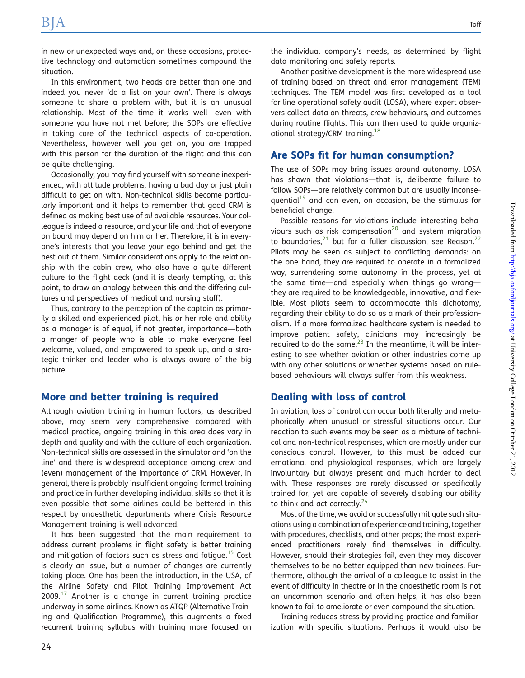in new or unexpected ways and, on these occasions, protective technology and automation sometimes compound the situation.

In this environment, two heads are better than one and indeed you never 'do a list on your own'. There is always someone to share a problem with, but it is an unusual relationship. Most of the time it works well—even with someone you have not met before; the SOPs are effective in taking care of the technical aspects of co-operation. Nevertheless, however well you get on, you are trapped with this person for the duration of the flight and this can be quite challenging.

Occasionally, you may find yourself with someone inexperienced, with attitude problems, having a bad day or just plain difficult to get on with. Non-technical skills become particularly important and it helps to remember that good CRM is defined as making best use of all available resources. Your colleague is indeed a resource, and your life and that of everyone on board may depend on him or her. Therefore, it is in everyone's interests that you leave your ego behind and get the best out of them. Similar considerations apply to the relationship with the cabin crew, who also have a quite different culture to the flight deck (and it is clearly tempting, at this point, to draw an analogy between this and the differing cultures and perspectives of medical and nursing staff).

Thus, contrary to the perception of the captain as primarily a skilled and experienced pilot, his or her role and ability as a manager is of equal, if not greater, importance—both a manger of people who is able to make everyone feel welcome, valued, and empowered to speak up, and a strategic thinker and leader who is always aware of the big picture.

#### More and better training is required

Although aviation training in human factors, as described above, may seem very comprehensive compared with medical practice, ongoing training in this area does vary in depth and quality and with the culture of each organization. Non-technical skills are assessed in the simulator and 'on the line' and there is widespread acceptance among crew and (even) management of the importance of CRM. However, in general, there is probably insufficient ongoing formal training and practice in further developing individual skills so that it is even possible that some airlines could be bettered in this respect by anaesthetic departments where Crisis Resource Management training is well advanced.

It has been suggested that the main requirement to address current problems in flight safety is better training and mitigation of factors such as stress and fatique.<sup>15</sup> Cost is clearly an issue, but a number of changes are currently taking place. One has been the introduction, in the USA, of the Airline Safety and Pilot Training Improvement Act  $2009$ .<sup>[17](#page-4-0)</sup> Another is a change in current training practice underway in some airlines. Known as ATQP (Alternative Training and Qualification Programme), this augments a fixed recurrent training syllabus with training more focused on the individual company's needs, as determined by flight data monitoring and safety reports.

Another positive development is the more widespread use of training based on threat and error management (TEM) techniques. The TEM model was first developed as a tool for line operational safety audit (LOSA), where expert observers collect data on threats, crew behaviours, and outcomes during routine flights. This can then used to guide organizational strategy/CRM training.<sup>18</sup>

#### Are SOPs fit for human consumption?

The use of SOPs may bring issues around autonomy. LOSA has shown that violations—that is, deliberate failure to follow SOPs—are relatively common but are usually inconsequential<sup>19</sup> and can even, on occasion, be the stimulus for beneficial change.

Possible reasons for violations include interesting beha-viours such as risk compensation<sup>[20](#page-4-0)</sup> and system migration to boundaries, $^{21}$  $^{21}$  $^{21}$  but for a fuller discussion, see Reason. $^{22}$  $^{22}$  $^{22}$ Pilots may be seen as subject to conflicting demands: on the one hand, they are required to operate in a formalized way, surrendering some autonomy in the process, yet at the same time—and especially when things go wrong they are required to be knowledgeable, innovative, and flexible. Most pilots seem to accommodate this dichotomy, regarding their ability to do so as a mark of their professionalism. If a more formalized healthcare system is needed to improve patient safety, clinicians may increasingly be required to do the same. $^{23}$  $^{23}$  $^{23}$  In the meantime, it will be interesting to see whether aviation or other industries come up with any other solutions or whether systems based on rulebased behaviours will always suffer from this weakness.

#### Dealing with loss of control

In aviation, loss of control can occur both literally and metaphorically when unusual or stressful situations occur. Our reaction to such events may be seen as a mixture of technical and non-technical responses, which are mostly under our conscious control. However, to this must be added our emotional and physiological responses, which are largely involuntary but always present and much harder to deal with. These responses are rarely discussed or specifically trained for, yet are capable of severely disabling our ability to think and act correctly. $24$ 

Most of the time, we avoid or successfully mitigate such situations using a combination of experience and training, together with procedures, checklists, and other props; the most experienced practitioners rarely find themselves in difficulty. However, should their strategies fail, even they may discover themselves to be no better equipped than new trainees. Furthermore, although the arrival of a colleague to assist in the event of difficulty in theatre or in the anaesthetic room is not an uncommon scenario and often helps, it has also been known to fail to ameliorate or even compound the situation.

Training reduces stress by providing practice and familiarization with specific situations. Perhaps it would also be